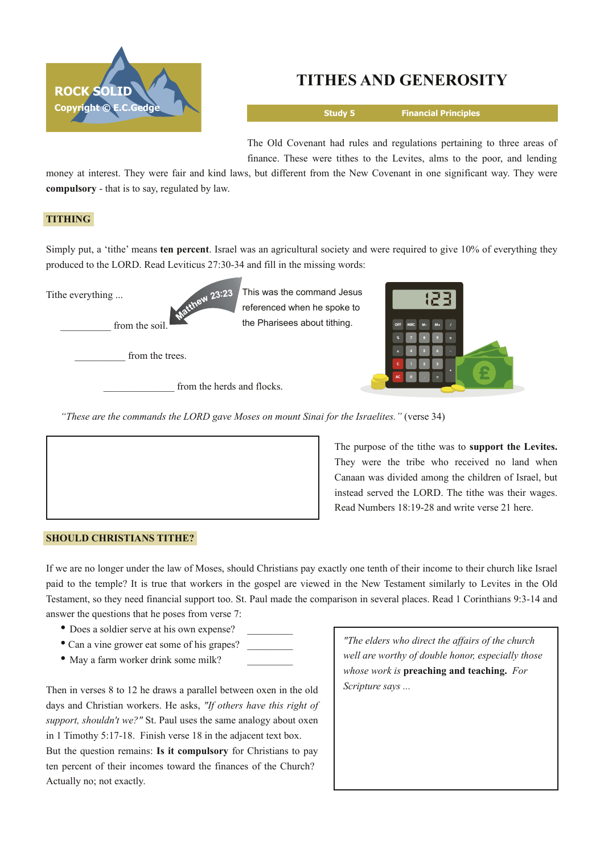

# **TITHES AND GENEROSITY**

**Study 5 Financial Principles**

The Old Covenant had rules and regulations pertaining to three areas of finance. These were tithes to the Levites, alms to the poor, and lending

money at interest. They were fair and kind laws, but different from the New Covenant in one significant way. They were **compulsory** - that is to say, regulated by law.

## **TITHING**

Simply put, a 'tithe' means **ten percent**. Israel was an agricultural society and were required to give 10% of everything they produced to the LORD. Read Leviticus 27:30-34 and fill in the missing words:

> This was the command Jesus referenced when he spoke to the Pharisees about tithing.

Tithe everything ...

from the soil.

from the trees.

from the herds and flocks.

thew 23:23



*"These are the commands the LORD gave Moses on mount Sinai for the Israelites."* (verse 34)



The purpose of the tithe was to **support the Levites.** They were the tribe who received no land when Canaan was divided among the children of Israel, but instead served the LORD. The tithe was their wages. Read Numbers 18:1928 and write verse 21 here.

## **SHOULD CHRISTIANS TITHE?**

If we are no longer under the law of Moses, should Christians pay exactly one tenth of their income to their church like Israel paid to the temple? It is true that workers in the gospel are viewed in the New Testament similarly to Levites in the Old Testament, so they need financial support too. St. Paul made the comparison in several places. Read 1 Corinthians 9:3-14 and answer the questions that he poses from verse 7:

- Does a soldier serve at his own expense?
- Can a vine grower eat some of his grapes?
- May a farm worker drink some milk?

Then in verses 8 to 12 he draws a parallel between oxen in the old days and Christian workers. He asks, *"If others have this right of support, shouldn't we?"* St. Paul uses the same analogy about oxen in 1 Timothy 5:17-18. Finish verse 18 in the adjacent text box. But the question remains: **Is it compulsory** for Christians to pay ten percent of their incomes toward the finances of the Church? Actually no; not exactly.

*"The elders who direct the affairs of the church well are worthy of double honor, especially those whose work is* **preaching and teaching.** *For Scripture says ...*